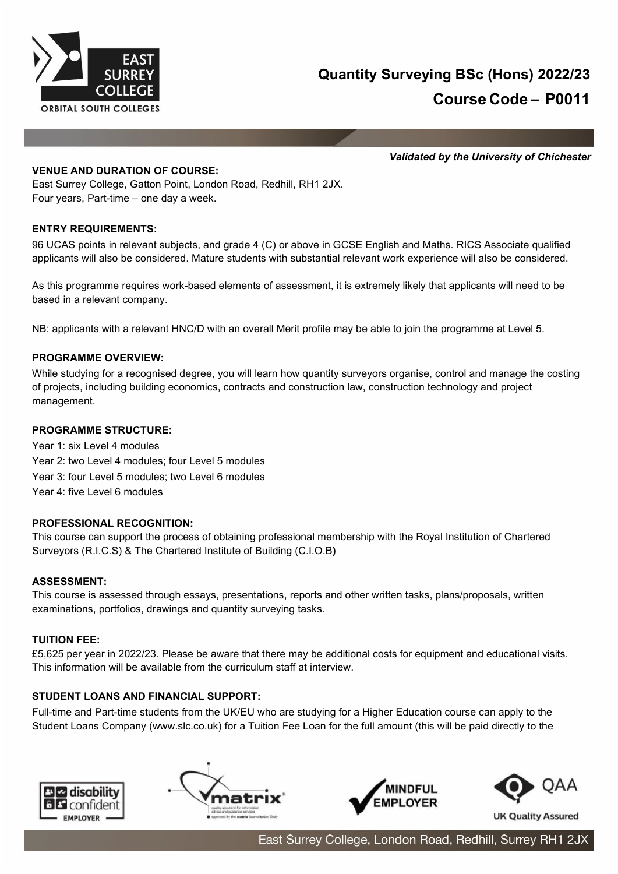

*Validated by the University of Chichester*

### **VENUE AND DURATION OF COURSE:**

East Surrey College, Gatton Point, London Road, Redhill, RH1 2JX. Four years, Part-time – one day a week.

## **ENTRY REQUIREMENTS:**

96 UCAS points in relevant subjects, and grade 4 (C) or above in GCSE English and Maths. RICS Associate qualified applicants will also be considered. Mature students with substantial relevant work experience will also be considered.

As this programme requires work-based elements of assessment, it is extremely likely that applicants will need to be based in a relevant company.

NB: applicants with a relevant HNC/D with an overall Merit profile may be able to join the programme at Level 5.

### **PROGRAMME OVERVIEW:**

While studying for a recognised degree, you will learn how quantity surveyors organise, control and manage the costing of projects, including building economics, contracts and construction law, construction technology and project management.

## **PROGRAMME STRUCTURE:**

Year 1: six Level 4 modules Year 2: two Level 4 modules; four Level 5 modules Year 3: four Level 5 modules; two Level 6 modules Year 4: five Level 6 modules

### **PROFESSIONAL RECOGNITION:**

This course can support the process of obtaining professional membership with the Royal Institution of Chartered Surveyors (R.I.C.S) & The Chartered Institute of Building (C.I.O.B**)**

### **ASSESSMENT:**

This course is assessed through essays, presentations, reports and other written tasks, plans/proposals, written examinations, portfolios, drawings and quantity surveying tasks.

### **TUITION FEE:**

£5,625 per year in 2022/23. Please be aware that there may be additional costs for equipment and educational visits. This information will be available from the curriculum staff at interview.

### **STUDENT LOANS AND FINANCIAL SUPPORT:**

Full-time and Part-time students from the UK/EU who are studying for a Higher Education course can apply to the Student Loans Company (www.slc.co.uk) for a Tuition Fee Loan for the full amount (this will be paid directly to the